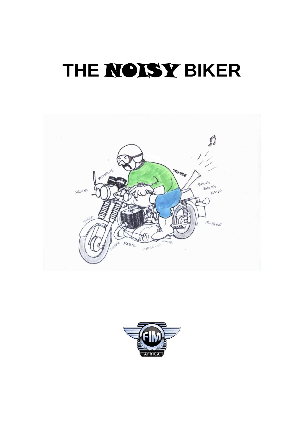# **THE** NOISY **BIKER**



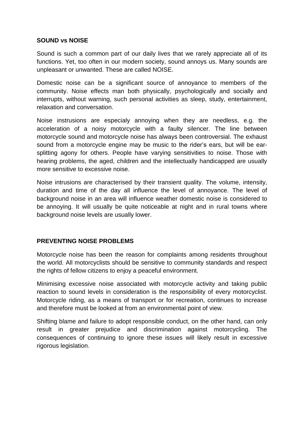#### **SOUND vs NOISE**

Sound is such a common part of our daily lives that we rarely appreciate all of its functions. Yet, too often in our modern society, sound annoys us. Many sounds are unpleasant or unwanted. These are called NOISE.

Domestic noise can be a significant source of annoyance to members of the community. Noise effects man both physically, psychologically and socially and interrupts, without warning, such personal activities as sleep, study, entertainment, relaxation and conversation.

Noise instrusions are especialy annoying when they are needless, e.g. the acceleration of a noisy motorcycle with a faulty silencer. The line between motorcycle sound and motorcycle noise has always been controversial. The exhaust sound from a motorcycle engine may be music to the rider's ears, but will be earsplitting agony for others. People have varying sensitivities to noise. Those with hearing problems, the aged, children and the intellectually handicapped are usually more sensitive to excessive noise.

Noise intrusions are characterised by their transient quality. The volume, intensity, duration and time of the day all influence the level of annoyance. The level of background noise in an area will influence weather domestic noise is considered to be annoying. It will usually be quite noticeable at night and in rural towns where background noise levels are usually lower.

#### **PREVENTING NOISE PROBLEMS**

Motorcycle noise has been the reason for complaints among residents throughout the world. All motorcyclists should be sensitive to community standards and respect the rights of fellow citizens to enjoy a peaceful environment.

Minimising excessive noise associated with motorcycle activity and taking public reaction to sound levels in consideration is the responsibility of every motorcyclist. Motorcycle riding, as a means of transport or for recreation, continues to increase and therefore must be looked at from an environmental point of view.

Shifting blame and failure to adopt responsible conduct, on the other hand, can only result in greater prejudice and discrimination against motorcycling. The consequences of continuing to ignore these issues will likely result in excessive rigorous legislation.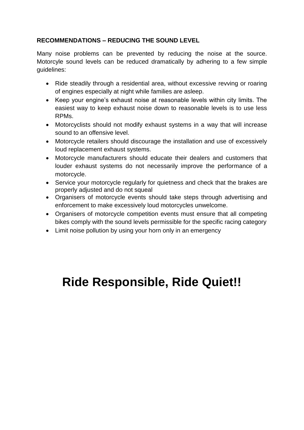### **RECOMMENDATIONS – REDUCING THE SOUND LEVEL**

Many noise problems can be prevented by reducing the noise at the source. Motorcyle sound levels can be reduced dramatically by adhering to a few simple guidelines:

- Ride steadily through a residential area, without excessive revving or roaring of engines especially at night while families are asleep.
- Keep your engine's exhaust noise at reasonable levels within city limits. The easiest way to keep exhaust noise down to reasonable levels is to use less RPMs.
- Motorcyclists should not modify exhaust systems in a way that will increase sound to an offensive level.
- Motorcycle retailers should discourage the installation and use of excessively loud replacement exhaust systems.
- Motorcycle manufacturers should educate their dealers and customers that louder exhaust systems do not necessarily improve the performance of a motorcycle.
- Service your motorcycle regularly for quietness and check that the brakes are properly adjusted and do not squeal
- Organisers of motorcycle events should take steps through advertising and enforcement to make excessively loud motorcycles unwelcome.
- Organisers of motorcycle competition events must ensure that all competing bikes comply with the sound levels permissible for the specific racing category
- Limit noise pollution by using your horn only in an emergency

## **Ride Responsible, Ride Quiet!!**